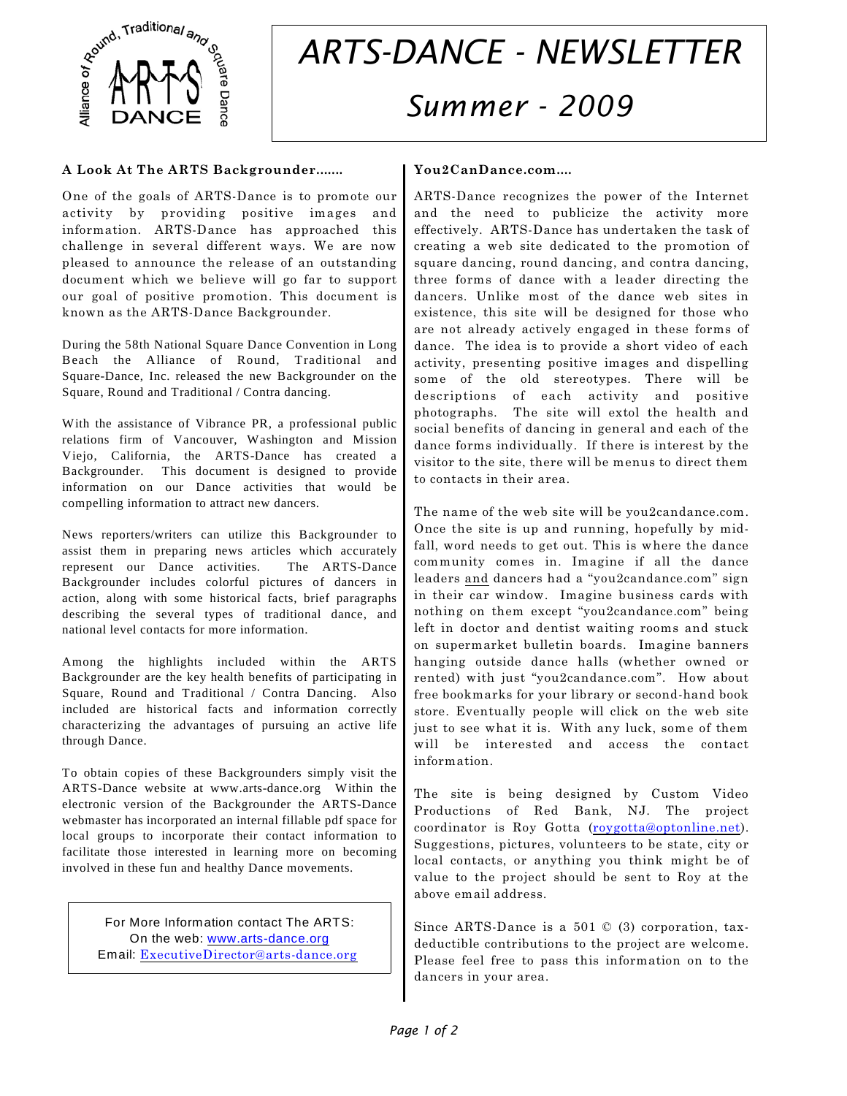

# *ARTS-DANCE - NEWSLETTER Summer - 2009*

### **A Look At The ARTS Backgrounder.......**

One of the goals of ARTS-Dance is to promote our activity by providing positive images and information. ARTS-Dance has approached this challenge in several different ways. We are now pleased to announce the release of an outstanding document which we believe will go far to support our goal of positive promotion. This document is known as the ARTS-Dance Backgrounder.

During the 58th National Square Dance Convention in Long Beach the Alliance of Round, Traditional and Square-Dance, Inc. released the new Backgrounder on the Square, Round and Traditional / Contra dancing.

With the assistance of Vibrance PR, a professional public relations firm of Vancouver, Washington and Mission Viejo, California, the ARTS-Dance has created a Backgrounder. This document is designed to provide information on our Dance activities that would be compelling information to attract new dancers.

News reporters/writers can utilize this Backgrounder to assist them in preparing news articles which accurately represent our Dance activities. The ARTS-Dance Backgrounder includes colorful pictures of dancers in action, along with some historical facts, brief paragraphs describing the several types of traditional dance, and national level contacts for more information.

Among the highlights included within the ARTS Backgrounder are the key health benefits of participating in Square, Round and Traditional / Contra Dancing. Also included are historical facts and information correctly characterizing the advantages of pursuing an active life through Dance.

To obtain copies of these Backgrounders simply visit the ARTS-Dance website at www.arts-dance.org Within the electronic version of the Backgrounder the ARTS-Dance webmaster has incorporated an internal fillable pdf space for local groups to incorporate their contact information to facilitate those interested in learning more on becoming involved in these fun and healthy Dance movements.

For More Information contact The ARTS: On the web: [www.arts-dance.org](http://www.ARTS-Dance.org) Email: [ExecutiveDirector@arts-dance.org](mailto:ExecutiveDirector@arts-dance.org)

# **You2CanDance.com....**

ARTS-Dance recognizes the power of the Internet and the need to publicize the activity more effectively. ARTS-Dance has undertaken the task of creating a web site dedicated to the promotion of square dancing, round dancing, and contra dancing, three forms of dance with a leader directing the dancers. Unlike most of the dance web sites in existence, this site will be designed for those who are not already actively engaged in these forms of dance. The idea is to provide a short video of each activity, presenting positive images and dispelling some of the old stereotypes. There will be descriptions of each activity and positive photographs. The site will extol the health and social benefits of dancing in general and each of the dance forms individually. If there is interest by the visitor to the site, there will be menus to direct them to contacts in their area.

The name of the web site will be you2candance.com. Once the site is up and running, hopefully by midfall, word needs to get out. This is where the dance community comes in. Imagine if all the dance leaders and dancers had a "you2candance.com" sign in their car window. Imagine business cards with nothing on them except "you2candance.com" being left in doctor and dentist waiting rooms and stuck on supermarket bulletin boards. Imagine banners hanging outside dance halls (whether owned or rented) with just "you2candance.com". How about free bookmarks for your library or second-hand book store. Eventually people will click on the web site just to see what it is. With any luck, some of them will be interested and access the contact information.

The site is being designed by Custom Video Productions of Red Bank, NJ. The project coordinator is Roy Gotta [\(roygotta@optonline.net](mailto:roygotta@optonline.net)). Suggestions, pictures, volunteers to be state, city or local contacts, or anything you think might be of value to the project should be sent to Roy at the above email address.

Since ARTS-Dance is a 501 © (3) corporation, taxdeductible contributions to the project are welcome. Please feel free to pass this information on to the dancers in your area.